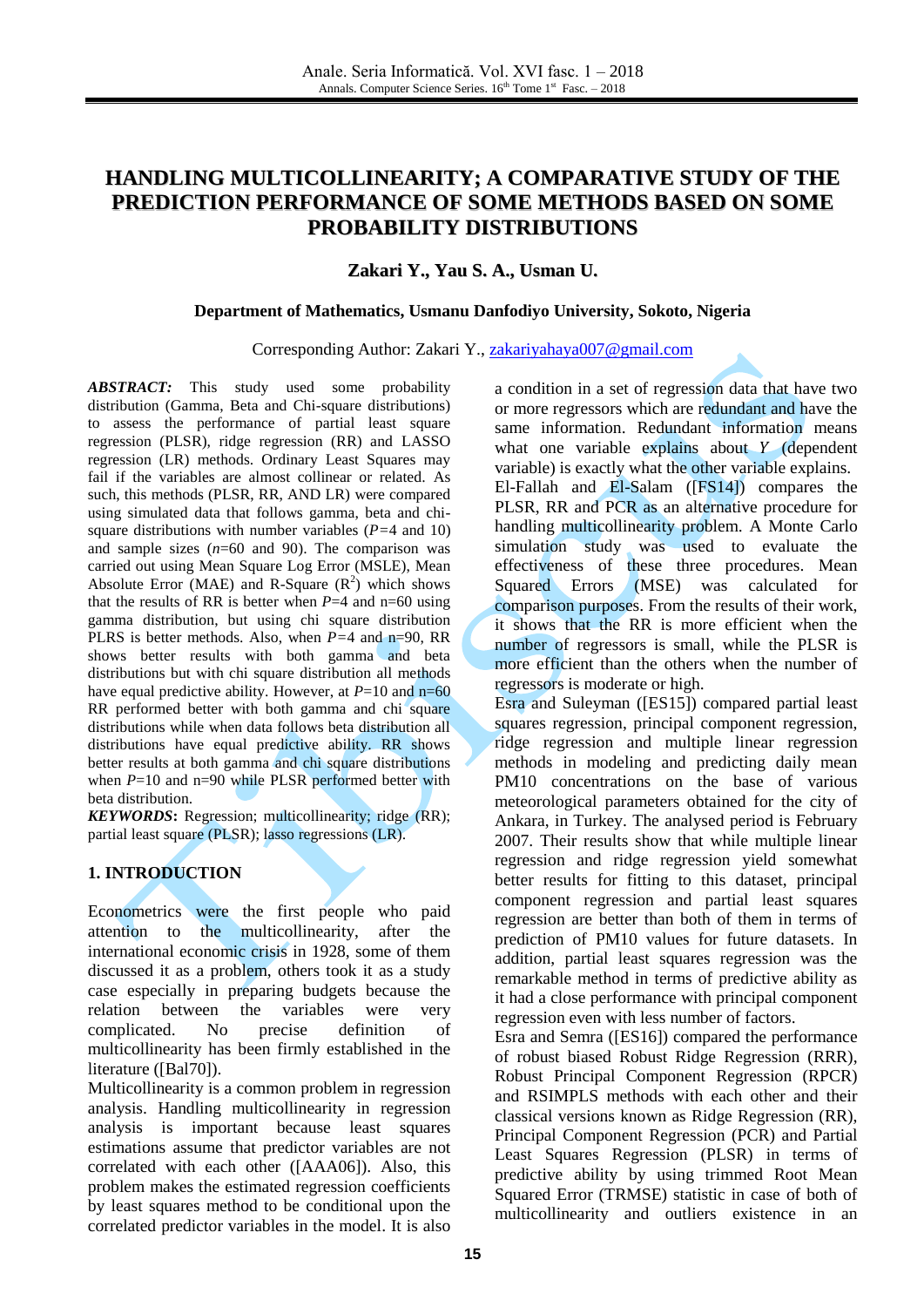# **HANDLING MULTICOLLINEARITY; A COMPARATIVE STUDY OF THE PREDICTION PERFORMANCE OF SOME METHODS BASED ON SOME PROBABILITY DISTRIBUTIONS**

### **Zakari Y., Yau S. A., Usman U.**

#### **Department of Mathematics, Usmanu Danfodiyo University, Sokoto, Nigeria**

#### Corresponding Author: Zakari Y., [zakariyahaya007@gmail.com](mailto:zakariyahaya007@gmail.com)

*ABSTRACT:* This study used some probability distribution (Gamma, Beta and Chi-square distributions) to assess the performance of partial least square regression (PLSR), ridge regression (RR) and LASSO regression (LR) methods. Ordinary Least Squares may fail if the variables are almost collinear or related. As such, this methods (PLSR, RR, AND LR) were compared using simulated data that follows gamma, beta and chisquare distributions with number variables (*P=*4 and 10) and sample sizes (*n*=60 and 90). The comparison was carried out using Mean Square Log Error (MSLE), Mean Absolute Error (MAE) and R-Square  $(R^2)$  which shows that the results of RR is better when  $P=4$  and  $n=60$  using gamma distribution, but using chi square distribution PLRS is better methods. Also, when *P=*4 and n=90, RR shows better results with both gamma and beta distributions but with chi square distribution all methods have equal predictive ability. However, at  $P=10$  and  $n=60$ RR performed better with both gamma and chi square distributions while when data follows beta distribution all distributions have equal predictive ability. RR shows better results at both gamma and chi square distributions when  $P=10$  and  $n=90$  while PLSR performed better with beta distribution.

*KEYWORDS***:** Regression; multicollinearity; ridge (RR); partial least square (PLSR); lasso regressions (LR).

### **1. INTRODUCTION**

Econometrics were the first people who paid attention to the multicollinearity, after the international economic crisis in 1928, some of them discussed it as a problem, others took it as a study case especially in preparing budgets because the relation between the variables were very complicated. No precise definition of multicollinearity has been firmly established in the literature ([Bal70]).

Multicollinearity is a common problem in regression analysis. Handling multicollinearity in regression analysis is important because least squares estimations assume that predictor variables are not correlated with each other ([AAA06]). Also, this problem makes the estimated regression coefficients by least squares method to be conditional upon the correlated predictor variables in the model. It is also

a condition in a set of regression data that have two or more regressors which are redundant and have the same information. Redundant information means what one variable explains about  $Y$  (dependent variable) is exactly what the other variable explains. El-Fallah and El-Salam ([FS14]) compares the PLSR, RR and PCR as an alternative procedure for handling multicollinearity problem. A Monte Carlo simulation study was used to evaluate the effectiveness of these three procedures. Mean Squared Errors (MSE) was calculated for comparison purposes. From the results of their work, it shows that the RR is more efficient when the number of regressors is small, while the PLSR is more efficient than the others when the number of regressors is moderate or high.

Esra and Suleyman ([ES15]) compared partial least squares regression, principal component regression, ridge regression and multiple linear regression methods in modeling and predicting daily mean PM10 concentrations on the base of various meteorological parameters obtained for the city of Ankara, in Turkey. The analysed period is February 2007. Their results show that while multiple linear regression and ridge regression yield somewhat better results for fitting to this dataset, principal component regression and partial least squares regression are better than both of them in terms of prediction of PM10 values for future datasets. In addition, partial least squares regression was the remarkable method in terms of predictive ability as it had a close performance with principal component regression even with less number of factors.

Esra and Semra ([ES16]) compared the performance of robust biased Robust Ridge Regression (RRR), Robust Principal Component Regression (RPCR) and RSIMPLS methods with each other and their classical versions known as Ridge Regression (RR), Principal Component Regression (PCR) and Partial Least Squares Regression (PLSR) in terms of predictive ability by using trimmed Root Mean Squared Error (TRMSE) statistic in case of both of multicollinearity and outliers existence in an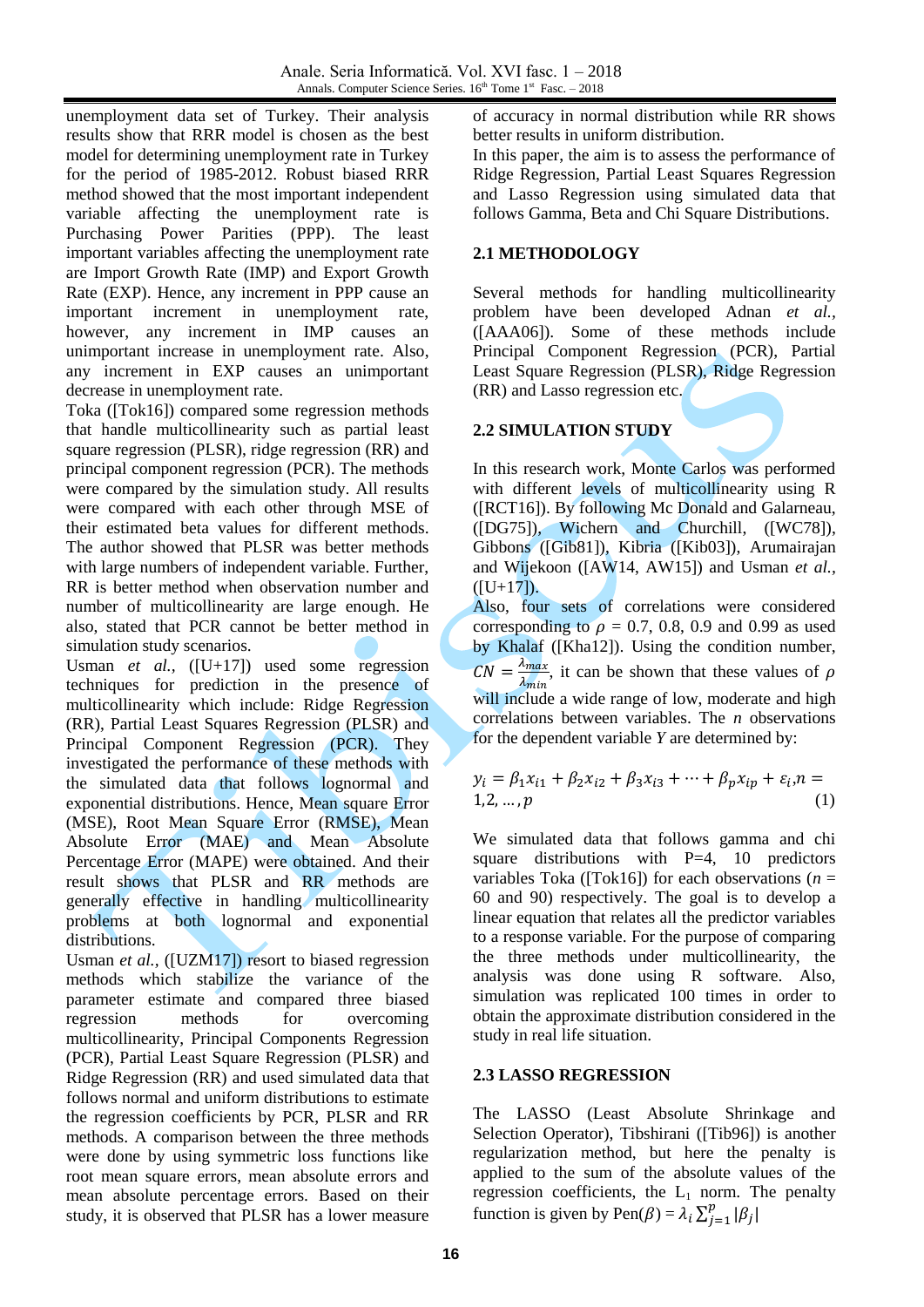unemployment data set of Turkey. Their analysis results show that RRR model is chosen as the best model for determining unemployment rate in Turkey for the period of 1985-2012. Robust biased RRR method showed that the most important independent variable affecting the unemployment rate is Purchasing Power Parities (PPP). The least important variables affecting the unemployment rate are Import Growth Rate (IMP) and Export Growth Rate (EXP). Hence, any increment in PPP cause an important increment in unemployment rate, however, any increment in IMP causes an unimportant increase in unemployment rate. Also, any increment in EXP causes an unimportant decrease in unemployment rate.

Toka ([Tok16]) compared some regression methods that handle multicollinearity such as partial least square regression (PLSR), ridge regression (RR) and principal component regression (PCR). The methods were compared by the simulation study. All results were compared with each other through MSE of their estimated beta values for different methods. The author showed that PLSR was better methods with large numbers of independent variable. Further, RR is better method when observation number and number of multicollinearity are large enough. He also, stated that PCR cannot be better method in simulation study scenarios.

Usman *et al.,* ([U+17]) used some regression techniques for prediction in the presence of multicollinearity which include: Ridge Regression (RR), Partial Least Squares Regression (PLSR) and Principal Component Regression (PCR). They investigated the performance of these methods with the simulated data that follows lognormal and exponential distributions. Hence, Mean square Error (MSE), Root Mean Square Error (RMSE), Mean Absolute Error (MAE) and Mean Absolute Percentage Error (MAPE) were obtained. And their result shows that PLSR and RR methods are generally effective in handling multicollinearity problems at both lognormal and exponential distributions.

Usman *et al.,* ([UZM17]) resort to biased regression methods which stabilize the variance of the parameter estimate and compared three biased regression methods for overcoming multicollinearity, Principal Components Regression (PCR), Partial Least Square Regression (PLSR) and Ridge Regression (RR) and used simulated data that follows normal and uniform distributions to estimate the regression coefficients by PCR, PLSR and RR methods. A comparison between the three methods were done by using symmetric loss functions like root mean square errors, mean absolute errors and mean absolute percentage errors. Based on their study, it is observed that PLSR has a lower measure of accuracy in normal distribution while RR shows better results in uniform distribution.

In this paper, the aim is to assess the performance of Ridge Regression, Partial Least Squares Regression and Lasso Regression using simulated data that follows Gamma, Beta and Chi Square Distributions.

## **2.1 METHODOLOGY**

Several methods for handling multicollinearity problem have been developed Adnan *et al.,* ([AAA06]). Some of these methods include Principal Component Regression (PCR), Partial Least Square Regression (PLSR), Ridge Regression (RR) and Lasso regression etc.

# **2.2 SIMULATION STUDY**

In this research work, Monte Carlos was performed with different levels of multicollinearity using R ([RCT16]). By following Mc Donald and Galarneau, ([DG75]), Wichern and Churchill, ([WC78]), Gibbons ([Gib81]), Kibria ([Kib03]), Arumairajan and Wijekoon ([AW14, AW15]) and Usman *et al.,*  $([U+17])$ .

Also, four sets of correlations were considered corresponding to  $\rho = 0.7, 0.8, 0.9$  and 0.99 as used by Khalaf ([Kha12]). Using the condition number,  $CN = \frac{\lambda}{2}$  $\frac{\lambda_{max}}{\lambda_{min}}$ , it can be shown that these values of will include a wide range of low, moderate and high correlations between variables. The *n* observations for the dependent variable *Y* are determined by:

$$
y_i = \beta_1 x_{i1} + \beta_2 x_{i2} + \beta_3 x_{i3} + \dots + \beta_p x_{ip} + \varepsilon_i n = 1, 2, ..., p
$$
 (1)

We simulated data that follows gamma and chi square distributions with  $P=4$ , 10 predictors variables Toka ([Tok16]) for each observations (*n* = 60 and 90) respectively. The goal is to develop a linear equation that relates all the predictor variables to a response variable. For the purpose of comparing the three methods under multicollinearity, the analysis was done using R software. Also, simulation was replicated 100 times in order to obtain the approximate distribution considered in the study in real life situation.

### **2.3 LASSO REGRESSION**

The LASSO (Least Absolute Shrinkage and Selection Operator), Tibshirani ([Tib96]) is another regularization method, but here the penalty is applied to the sum of the absolute values of the regression coefficients, the  $L_1$  norm. The penalty function is given by Pen( $\beta$ ) =  $\lambda_i \sum_{i=1}^{p} |\beta_i|$ j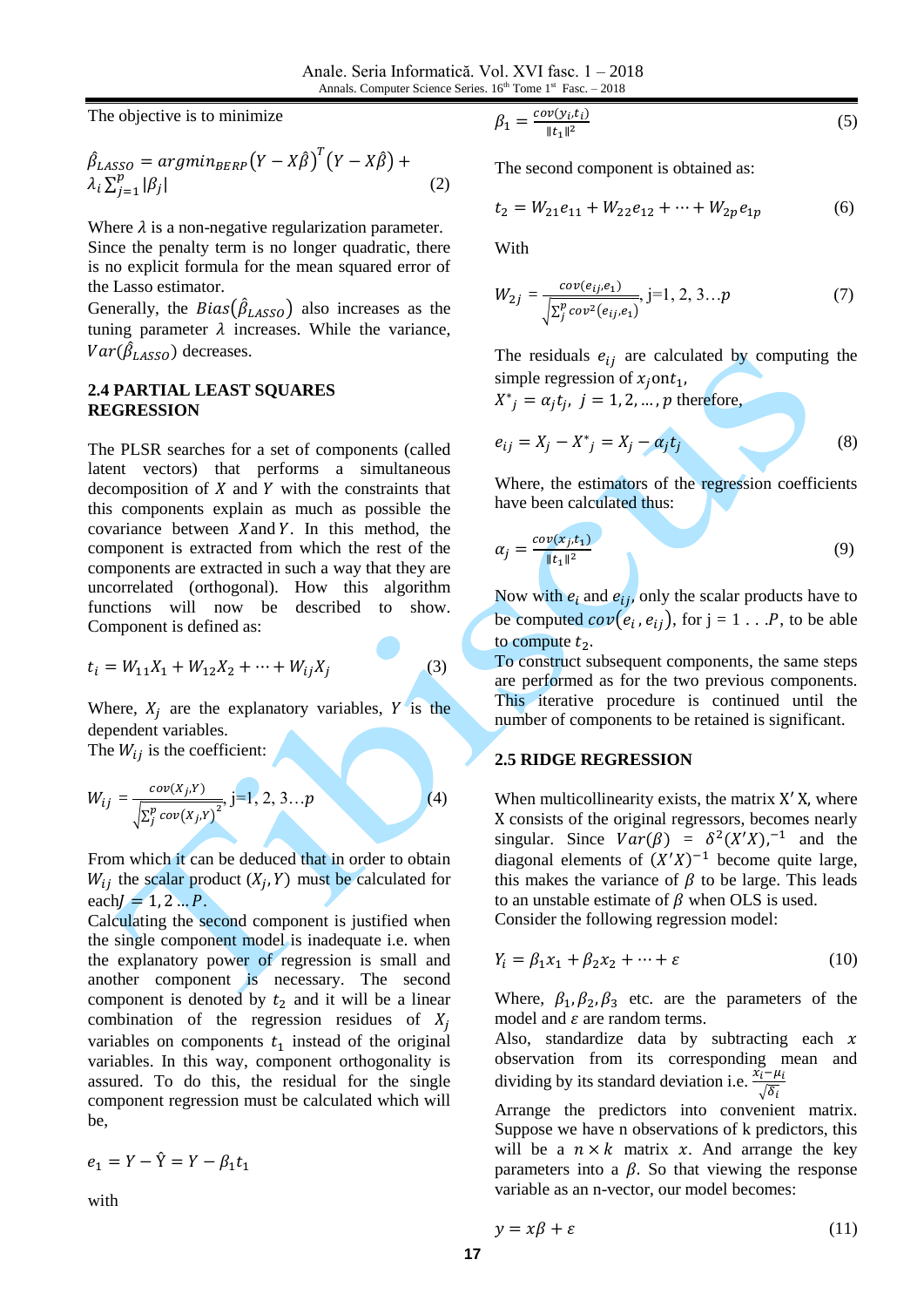The objective is to minimize

$$
\hat{\beta}_{LASSO} = argmin_{BERP} (Y - X\hat{\beta})^T (Y - X\hat{\beta}) + \lambda_i \sum_{j=1}^p |\beta_j|
$$
\n(2)

Where  $\lambda$  is a non-negative regularization parameter. Since the penalty term is no longer quadratic, there is no explicit formula for the mean squared error of the Lasso estimator.

Generally, the  $Bias(\beta_{LASSO})$  also increases as the tuning parameter  $\lambda$  increases. While the variance,  $Var(\beta_{LASSO})$  decreases.

#### **2.4 PARTIAL LEAST SQUARES REGRESSION**

The PLSR searches for a set of components (called latent vectors) that performs a simultaneous decomposition of  $X$  and  $Y$  with the constraints that this components explain as much as possible the covariance between  $X$  and  $Y$ . In this method, the component is extracted from which the rest of the components are extracted in such a way that they are uncorrelated (orthogonal). How this algorithm functions will now be described to show. Component is defined as:

$$
t_i = W_{11}X_1 + W_{12}X_2 + \dots + W_{ij}X_j
$$
 (3)

Where,  $X_j$  are the explanatory variables, Y is the dependent variables.

The  $W_{ij}$  is the coefficient:

$$
W_{ij} = \frac{cov(X_j, Y)}{\sqrt{\sum_{j}^{p} cov(X_j, Y)^2}}, j=1, 2, 3...p
$$
 (4)

From which it can be deduced that in order to obtain  $W_{ij}$  the scalar product  $(X_i, Y)$  must be calculated for  $each/ = 1, 2...P$ .

Calculating the second component is justified when the single component model is inadequate i.e. when the explanatory power of regression is small and another component is necessary. The second component is denoted by  $t_2$  and it will be a linear combination of the regression residues of  $X_i$ variables on components  $t_1$  instead of the original variables. In this way, component orthogonality is assured. To do this, the residual for the single component regression must be calculated which will be,

$$
e_1 = Y - \hat{Y} = Y - \beta_1 t_1
$$

with

$$
\beta_1 = \frac{\operatorname{cov}(y_i, t_i)}{\|t_1\|^2} \tag{5}
$$

The second component is obtained as:

$$
t_2 = W_{21}e_{11} + W_{22}e_{12} + \dots + W_{2p}e_{1p} \tag{6}
$$

With

$$
W_{2j} = \frac{cov(e_{ij}, e_1)}{\sqrt{\sum_{j}^{p} cov^{2}(e_{ij}, e_1)}}, j=1, 2, 3...p
$$
 (7)

The residuals  $e_{ij}$  are calculated by computing the simple regression of  $x_j$  ont<sub>1</sub>,

 $X^*_{j} = \alpha_j t_j$ ,  $j = 1, 2, ..., p$  therefore,

$$
e_{ij} = X_j - X^* = X_j - \alpha_j t_j \tag{8}
$$

Where, the estimators of the regression coefficients have been calculated thus:

$$
\alpha_j = \frac{cov(x_j, t_1)}{\|t_1\|^2} \tag{9}
$$

Now with  $e_i$  and  $e_{ij}$ , only the scalar products have to be computed  $cov(e_i, e_{ij})$ , for  $j = 1 \dots P$ , to be able to compute  $t_2$ .

To construct subsequent components, the same steps are performed as for the two previous components. This iterative procedure is continued until the number of components to be retained is significant.

#### **2.5 RIDGE REGRESSION**

When multicollinearity exists, the matrix  $X'$  X, where X consists of the original regressors, becomes nearly singular. Since  $Var(\beta) = \delta^2(X'X)^{-1}$  and the diagonal elements of  $(X'X)^{-1}$  become quite large, this makes the variance of  $\beta$  to be large. This leads to an unstable estimate of  $\beta$  when OLS is used. Consider the following regression model:

$$
Y_i = \beta_1 x_1 + \beta_2 x_2 + \dots + \varepsilon \tag{10}
$$

Where,  $\beta_1$ ,  $\beta_2$ ,  $\beta_3$  etc. are the parameters of the model and  $\varepsilon$  are random terms.

Also, standardize data by subtracting each  $x$ observation from its corresponding mean and dividing by its standard deviation i.e.  $\frac{\lambda_i}{\sqrt{n}}$ 

Arrange the predictors into convenient matrix. Suppose we have n observations of k predictors, this will be a  $n \times k$  matrix x. And arrange the key parameters into a  $\beta$ . So that viewing the response variable as an n-vector, our model becomes:

$$
y = x\beta + \varepsilon \tag{11}
$$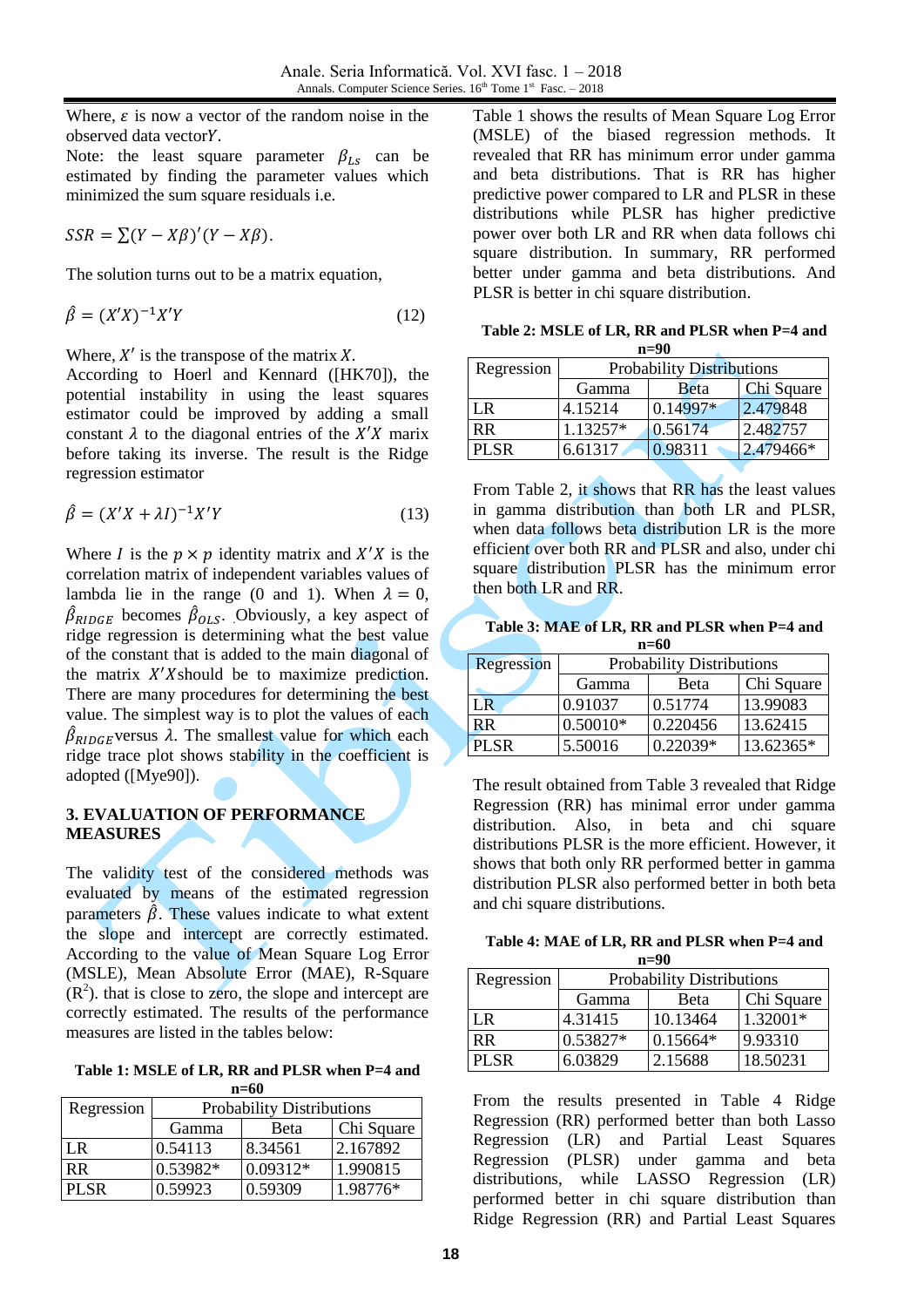Where,  $\varepsilon$  is now a vector of the random noise in the observed data vector

Note: the least square parameter  $\beta_{LS}$  can be estimated by finding the parameter values which minimized the sum square residuals i.e.

$$
SSR = \sum (Y - X\beta)'(Y - X\beta).
$$

The solution turns out to be a matrix equation,

$$
\hat{\beta} = (X'X)^{-1}X'Y\tag{12}
$$

Where,  $X'$  is the transpose of the matrix X.

According to Hoerl and Kennard ([HK70]), the potential instability in using the least squares estimator could be improved by adding a small constant  $\lambda$  to the diagonal entries of the X'X marix before taking its inverse. The result is the Ridge regression estimator

$$
\hat{\beta} = (X'X + \lambda I)^{-1}X'Y
$$
\n(13)

Where *I* is the  $p \times p$  identity matrix and  $X'X$  is the correlation matrix of independent variables values of lambda lie in the range (0 and 1). When  $\lambda = 0$ ,  $\beta_{RIDGE}$  becomes  $\beta_{OLS}$ . Obviously, a key aspect of ridge regression is determining what the best value of the constant that is added to the main diagonal of the matrix  $X'X$ should be to maximize prediction. There are many procedures for determining the best value. The simplest way is to plot the values of each  $\beta_{RIDGE}$  versus  $\lambda$ . The smallest value for which each ridge trace plot shows stability in the coefficient is adopted ([Mye90]).

# **3. EVALUATION OF PERFORMANCE MEASURES**

The validity test of the considered methods was evaluated by means of the estimated regression parameters  $\hat{\beta}$ . These values indicate to what extent the slope and intercept are correctly estimated. According to the value of Mean Square Log Error (MSLE), Mean Absolute Error (MAE), R-Square  $(R<sup>2</sup>)$ . that is close to zero, the slope and intercept are correctly estimated. The results of the performance measures are listed in the tables below:

**Table 1: MSLE of LR, RR and PLSR when P=4 and n=60**

| $\cdots$    |                                  |            |          |  |  |
|-------------|----------------------------------|------------|----------|--|--|
| Regression  | <b>Probability Distributions</b> |            |          |  |  |
|             | Chi Square<br>Beta<br>Gamma      |            |          |  |  |
| LR          | 0.54113                          | 8.34561    | 2.167892 |  |  |
| <b>RR</b>   | 0.53982*                         | $0.09312*$ | 1.990815 |  |  |
| <b>PLSR</b> | 0.59923                          | 0.59309    | 1.98776* |  |  |

Table 1 shows the results of Mean Square Log Error (MSLE) of the biased regression methods. It revealed that RR has minimum error under gamma and beta distributions. That is RR has higher predictive power compared to LR and PLSR in these distributions while PLSR has higher predictive power over both LR and RR when data follows chi square distribution. In summary, RR performed better under gamma and beta distributions. And PLSR is better in chi square distribution.

| Table 2: MSLE of LR, RR and PLSR when P=4 and |
|-----------------------------------------------|
| $n=90$                                        |

| Regression  | <b>Probability Distributions</b> |             |            |  |  |
|-------------|----------------------------------|-------------|------------|--|--|
|             | Gamma                            | <b>Beta</b> | Chi Square |  |  |
| LR.         | 4.15214                          | $0.14997*$  | 2.479848   |  |  |
| <b>RR</b>   | 1.13257*                         | 0.56174     | 2.482757   |  |  |
| <b>PLSR</b> | 6.61317                          | 0.98311     | 2.479466*  |  |  |

From Table 2, it shows that RR has the least values in gamma distribution than both LR and PLSR, when data follows beta distribution LR is the more efficient over both RR and PLSR and also, under chi square distribution PLSR has the minimum error then both LR and RR.

| Table 3: MAE of LR, RR and PLSR when P=4 and |  |
|----------------------------------------------|--|
| $n=60$                                       |  |

| Regression | <b>Probability Distributions</b> |            |            |  |  |
|------------|----------------------------------|------------|------------|--|--|
|            | Gamma                            | Beta       | Chi Square |  |  |
| LR         | 0.91037                          | 0.51774    | 13.99083   |  |  |
| <b>RR</b>  | $0.50010*$                       | 0.220456   | 13.62415   |  |  |
| PL SR      | 5.50016                          | $0.22039*$ | 13.62365*  |  |  |

The result obtained from Table 3 revealed that Ridge Regression (RR) has minimal error under gamma distribution. Also, in beta and chi square distributions PLSR is the more efficient. However, it shows that both only RR performed better in gamma distribution PLSR also performed better in both beta and chi square distributions.

**Table 4: MAE of LR, RR and PLSR when P=4 and n=90**

| Regression  | <b>Probability Distributions</b> |            |            |  |  |
|-------------|----------------------------------|------------|------------|--|--|
|             | Gamma                            | Beta       | Chi Square |  |  |
| $L_{\rm R}$ | 4.31415                          | 10.13464   | 1.32001*   |  |  |
| <b>RR</b>   | 0.53827*                         | $0.15664*$ | 9.93310    |  |  |
| <b>PLSR</b> | 6.03829                          | 2.15688    | 18.50231   |  |  |

From the results presented in Table 4 Ridge Regression (RR) performed better than both Lasso Regression (LR) and Partial Least Squares Regression (PLSR) under gamma and beta distributions, while LASSO Regression (LR) performed better in chi square distribution than Ridge Regression (RR) and Partial Least Squares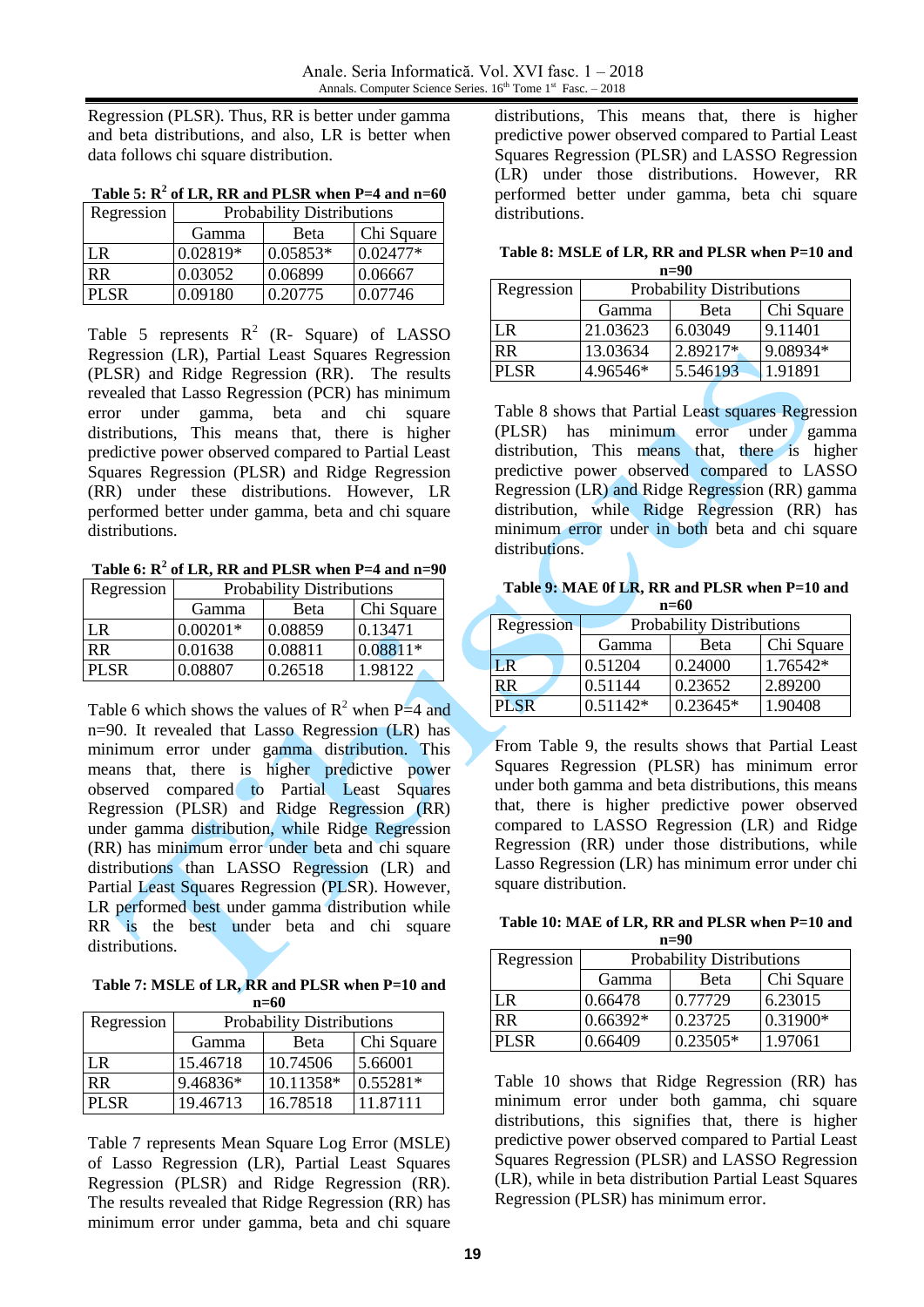Regression (PLSR). Thus, RR is better under gamma and beta distributions, and also, LR is better when data follows chi square distribution.

| Table 5: $R^2$ of LR, RR and PLSR when P=4 and n=60 |  |  |  |  |  |
|-----------------------------------------------------|--|--|--|--|--|
|                                                     |  |  |  |  |  |

| Regression  | <b>Probability Distributions</b> |            |            |  |  |  |
|-------------|----------------------------------|------------|------------|--|--|--|
|             | Gamma                            | Beta       | Chi Square |  |  |  |
| LR          | $0.02819*$                       | $0.05853*$ | $0.02477*$ |  |  |  |
| <b>RR</b>   | 0.03052                          | 0.06899    | 0.06667    |  |  |  |
| <b>PLSR</b> | 0.09180                          | 0.20775    | 0.07746    |  |  |  |

Table 5 represents  $R^2$  (R- Square) of LASSO Regression (LR), Partial Least Squares Regression (PLSR) and Ridge Regression (RR). The results revealed that Lasso Regression (PCR) has minimum error under gamma, beta and chi square distributions, This means that, there is higher predictive power observed compared to Partial Least Squares Regression (PLSR) and Ridge Regression (RR) under these distributions. However, LR performed better under gamma, beta and chi square distributions.

**Table 6: R<sup>2</sup> of LR, RR and PLSR when P=4 and n=90**

| Regression  | <b>Probability Distributions</b> |         |            |  |  |
|-------------|----------------------------------|---------|------------|--|--|
|             | Gamma                            | Beta    | Chi Square |  |  |
| LR.         | $0.00201*$                       | 0.08859 | 0.13471    |  |  |
| <b>RR</b>   | 0.01638                          | 0.08811 | $0.08811*$ |  |  |
| <b>PLSR</b> | 0.08807                          | 0.26518 | 1.98122    |  |  |

Table 6 which shows the values of  $R^2$  when P=4 and n=90. It revealed that Lasso Regression (LR) has minimum error under gamma distribution. This means that, there is higher predictive power observed compared to Partial Least Squares Regression (PLSR) and Ridge Regression (RR) under gamma distribution, while Ridge Regression (RR) has minimum error under beta and chi square distributions than LASSO Regression (LR) and Partial Least Squares Regression (PLSR). However, LR performed best under gamma distribution while RR is the best under beta and chi square distributions.

**Table 7: MSLE of LR, RR and PLSR when P=10 and n=60**

| Regression  | <b>Probability Distributions</b> |           |            |  |  |  |
|-------------|----------------------------------|-----------|------------|--|--|--|
|             | Gamma                            | Beta      | Chi Square |  |  |  |
| LR.         | 15.46718                         | 10.74506  | 5.66001    |  |  |  |
| <b>RR</b>   | 9.46836*                         | 10.11358* | $0.55281*$ |  |  |  |
| <b>PLSR</b> | 19.46713                         | 16.78518  | 11.87111   |  |  |  |

Table 7 represents Mean Square Log Error (MSLE) of Lasso Regression (LR), Partial Least Squares Regression (PLSR) and Ridge Regression (RR). The results revealed that Ridge Regression (RR) has minimum error under gamma, beta and chi square

distributions, This means that, there is higher predictive power observed compared to Partial Least Squares Regression (PLSR) and LASSO Regression (LR) under those distributions. However, RR performed better under gamma, beta chi square distributions.

**Table 8: MSLE of LR, RR and PLSR when P=10 and n=90**

| Regression  | <b>Probability Distributions</b> |            |          |  |  |
|-------------|----------------------------------|------------|----------|--|--|
|             | Gamma                            | Chi Square |          |  |  |
| LR.         | 21.03623                         | 6.03049    | 9.11401  |  |  |
| <b>RR</b>   | 13.03634                         | 2.89217*   | 9.08934* |  |  |
| <b>PLSR</b> | 4.96546*                         | 5.546193   | 1.91891  |  |  |

Table 8 shows that Partial Least squares Regression (PLSR) has minimum error under gamma distribution, This means that, there is higher predictive power observed compared to LASSO Regression (LR) and Ridge Regression (RR) gamma distribution, while Ridge Regression (RR) has minimum error under in both beta and chi square distributions.

**Table 9: MAE 0f LR, RR and PLSR when P=10 and n=60**

| Regression  | <b>Probability Distributions</b> |            |            |  |  |  |
|-------------|----------------------------------|------------|------------|--|--|--|
|             | Gamma                            | Beta       | Chi Square |  |  |  |
| LR          | 0.51204                          | 0.24000    | 1.76542*   |  |  |  |
| RR          | 0.51144                          | 0.23652    | 2.89200    |  |  |  |
| <b>PLSR</b> | $0.51142*$                       | $0.23645*$ | 1.90408    |  |  |  |

From Table 9, the results shows that Partial Least Squares Regression (PLSR) has minimum error under both gamma and beta distributions, this means that, there is higher predictive power observed compared to LASSO Regression (LR) and Ridge Regression (RR) under those distributions, while Lasso Regression (LR) has minimum error under chi square distribution.

**Table 10: MAE of LR, RR and PLSR when P=10 and n=90**

| Regression  | <b>Probability Distributions</b> |            |            |  |  |  |
|-------------|----------------------------------|------------|------------|--|--|--|
|             | Gamma                            | Beta       | Chi Square |  |  |  |
| I R         | 0.66478                          | 0.77729    | 6.23015    |  |  |  |
| <b>RR</b>   | $0.66392*$                       | 0.23725    | 0.31900*   |  |  |  |
| <b>PLSR</b> | 0.66409                          | $0.23505*$ | 1.97061    |  |  |  |

Table 10 shows that Ridge Regression (RR) has minimum error under both gamma, chi square distributions, this signifies that, there is higher predictive power observed compared to Partial Least Squares Regression (PLSR) and LASSO Regression (LR), while in beta distribution Partial Least Squares Regression (PLSR) has minimum error.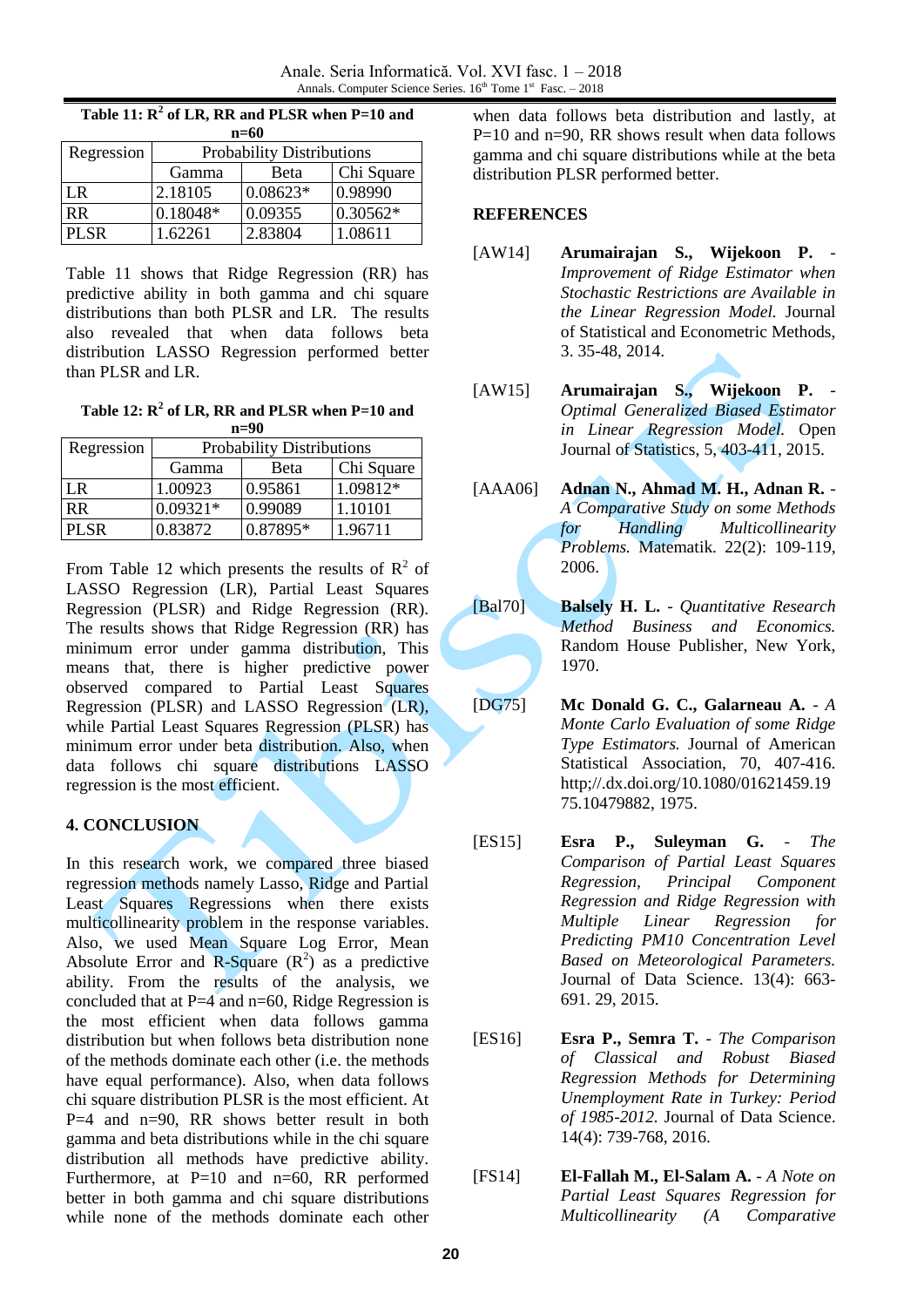| $n=60$     |                                  |            |            |  |  |  |
|------------|----------------------------------|------------|------------|--|--|--|
| Regression | <b>Probability Distributions</b> |            |            |  |  |  |
|            | Gamma                            | Beta       | Chi Square |  |  |  |
| LR         | 2.18105                          | $0.08623*$ | 0.98990    |  |  |  |
| <b>RR</b>  | 0.18048*                         | 0.09355    | $0.30562*$ |  |  |  |
| PL SR      | .62261                           | 2.83804    | 1.08611    |  |  |  |

**Table 11: R<sup>2</sup> of LR, RR and PLSR when P=10 and** 

Table 11 shows that Ridge Regression (RR) has predictive ability in both gamma and chi square distributions than both PLSR and LR. The results also revealed that when data follows beta distribution LASSO Regression performed better than PLSR and LR.

**Table 12: R<sup>2</sup> of LR, RR and PLSR when P=10 and n=90**

| Regression | <b>Probability Distributions</b> |          |            |
|------------|----------------------------------|----------|------------|
|            | Gamma                            | Beta     | Chi Square |
| I R        | 1.00923                          | 0.95861  | 1.09812*   |
| <b>RR</b>  | $0.09321*$                       | 0.99089  | 1.10101    |
| PL SR      | 0.83872                          | 0.87895* | 1.96711    |

From Table 12 which presents the results of  $\mathbb{R}^2$  of LASSO Regression (LR), Partial Least Squares Regression (PLSR) and Ridge Regression (RR). The results shows that Ridge Regression (RR) has minimum error under gamma distribution, This means that, there is higher predictive power observed compared to Partial Least Squares Regression (PLSR) and LASSO Regression (LR), while Partial Least Squares Regression (PLSR) has minimum error under beta distribution. Also, when data follows chi square distributions LASSO regression is the most efficient.

### **4. CONCLUSION**

In this research work, we compared three biased regression methods namely Lasso, Ridge and Partial Least Squares Regressions when there exists multicollinearity problem in the response variables. Also, we used Mean Square Log Error, Mean Absolute Error and R-Square  $(R^2)$  as a predictive ability. From the results of the analysis, we concluded that at  $P=4$  and  $n=60$ , Ridge Regression is the most efficient when data follows gamma distribution but when follows beta distribution none of the methods dominate each other (i.e. the methods have equal performance). Also, when data follows chi square distribution PLSR is the most efficient. At  $P=4$  and  $n=90$ , RR shows better result in both gamma and beta distributions while in the chi square distribution all methods have predictive ability. Furthermore, at P=10 and n=60, RR performed better in both gamma and chi square distributions while none of the methods dominate each other

when data follows beta distribution and lastly, at  $P=10$  and n=90, RR shows result when data follows gamma and chi square distributions while at the beta distribution PLSR performed better.

### **REFERENCES**

- [AW14] **Arumairajan S., Wijekoon P.** *Improvement of Ridge Estimator when Stochastic Restrictions are Available in the Linear Regression Model.* Journal of Statistical and Econometric Methods, 3. 35-48, 2014.
- [AW15] **Arumairajan S., Wijekoon P.** *Optimal Generalized Biased Estimator in Linear Regression Model.* Open Journal of Statistics, 5, 403-411, 2015.
- [AAA06] **Adnan N., Ahmad M. H., Adnan R.** *A Comparative Study on some Methods for Handling Multicollinearity Problems.* Matematik. 22(2): 109-119, 2006.
- [Bal70] **Balsely H. L.** *Quantitative Research Method Business and Economics.* Random House Publisher, New York, 1970.
- [DG75] **Mc Donald G. C., Galarneau A.** *A Monte Carlo Evaluation of some Ridge Type Estimators.* Journal of American Statistical Association, 70, 407-416. http;//.dx.doi.org/10.1080/01621459.19 75.10479882, 1975.
- [ES15] **Esra P., Suleyman G.** *The Comparison of Partial Least Squares Regression, Principal Component Regression and Ridge Regression with Multiple Linear Regression for Predicting PM10 Concentration Level Based on Meteorological Parameters.* Journal of Data Science. 13(4): 663- 691. 29, 2015.
- [ES16] **Esra P., Semra T.** *The Comparison of Classical and Robust Biased Regression Methods for Determining Unemployment Rate in Turkey: Period of 1985-2012.* Journal of Data Science. 14(4): 739-768, 2016.
- [FS14] **El-Fallah M., El-Salam A.** *A Note on Partial Least Squares Regression for Multicollinearity (A Comparative*